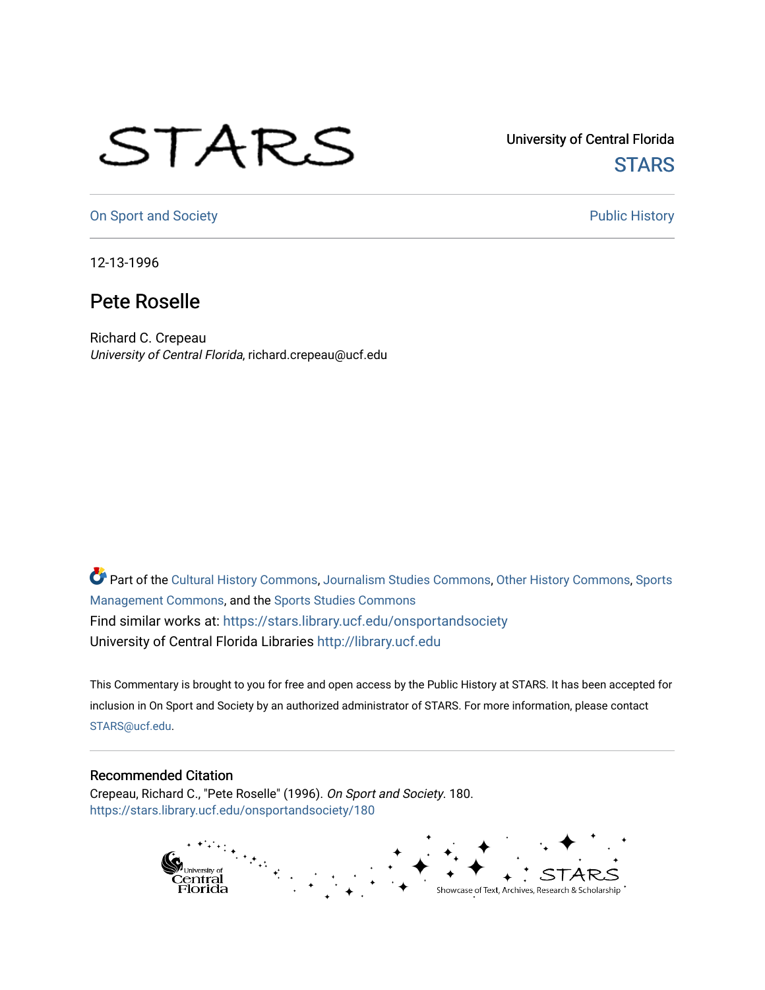## STARS

University of Central Florida **STARS** 

[On Sport and Society](https://stars.library.ucf.edu/onsportandsociety) **Public History** Public History

12-13-1996

## Pete Roselle

Richard C. Crepeau University of Central Florida, richard.crepeau@ucf.edu

Part of the [Cultural History Commons](http://network.bepress.com/hgg/discipline/496?utm_source=stars.library.ucf.edu%2Fonsportandsociety%2F180&utm_medium=PDF&utm_campaign=PDFCoverPages), [Journalism Studies Commons,](http://network.bepress.com/hgg/discipline/333?utm_source=stars.library.ucf.edu%2Fonsportandsociety%2F180&utm_medium=PDF&utm_campaign=PDFCoverPages) [Other History Commons,](http://network.bepress.com/hgg/discipline/508?utm_source=stars.library.ucf.edu%2Fonsportandsociety%2F180&utm_medium=PDF&utm_campaign=PDFCoverPages) [Sports](http://network.bepress.com/hgg/discipline/1193?utm_source=stars.library.ucf.edu%2Fonsportandsociety%2F180&utm_medium=PDF&utm_campaign=PDFCoverPages) [Management Commons](http://network.bepress.com/hgg/discipline/1193?utm_source=stars.library.ucf.edu%2Fonsportandsociety%2F180&utm_medium=PDF&utm_campaign=PDFCoverPages), and the [Sports Studies Commons](http://network.bepress.com/hgg/discipline/1198?utm_source=stars.library.ucf.edu%2Fonsportandsociety%2F180&utm_medium=PDF&utm_campaign=PDFCoverPages) Find similar works at: <https://stars.library.ucf.edu/onsportandsociety> University of Central Florida Libraries [http://library.ucf.edu](http://library.ucf.edu/) 

This Commentary is brought to you for free and open access by the Public History at STARS. It has been accepted for inclusion in On Sport and Society by an authorized administrator of STARS. For more information, please contact [STARS@ucf.edu](mailto:STARS@ucf.edu).

## Recommended Citation

Crepeau, Richard C., "Pete Roselle" (1996). On Sport and Society. 180. [https://stars.library.ucf.edu/onsportandsociety/180](https://stars.library.ucf.edu/onsportandsociety/180?utm_source=stars.library.ucf.edu%2Fonsportandsociety%2F180&utm_medium=PDF&utm_campaign=PDFCoverPages)

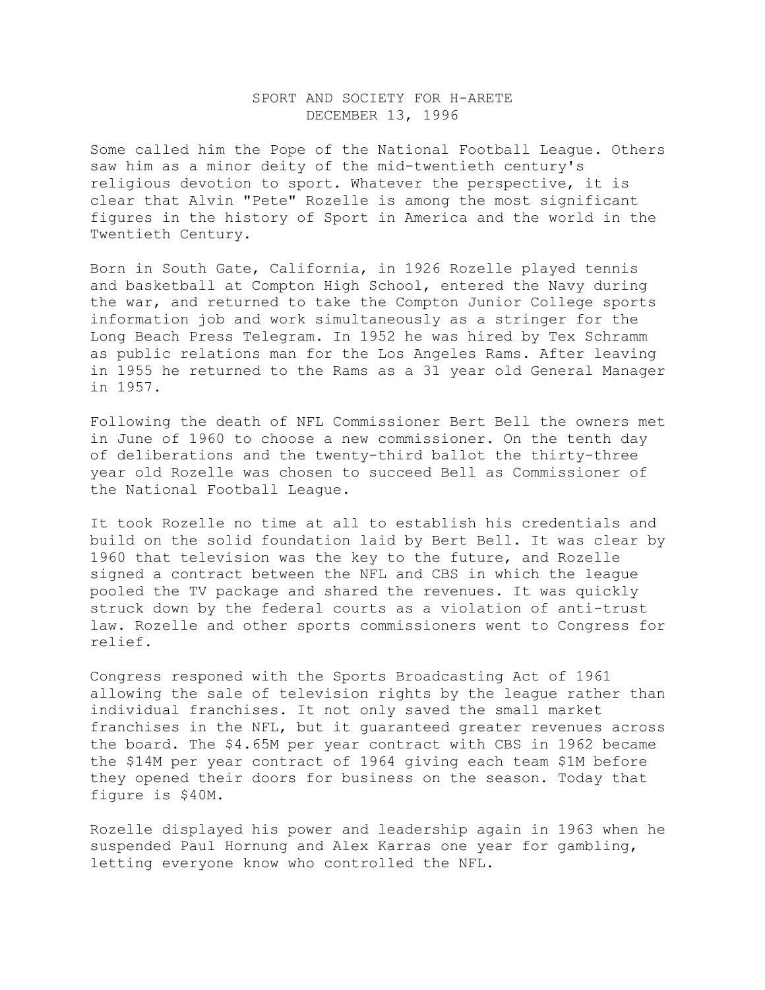## SPORT AND SOCIETY FOR H-ARETE DECEMBER 13, 1996

Some called him the Pope of the National Football League. Others saw him as a minor deity of the mid-twentieth century's religious devotion to sport. Whatever the perspective, it is clear that Alvin "Pete" Rozelle is among the most significant figures in the history of Sport in America and the world in the Twentieth Century.

Born in South Gate, California, in 1926 Rozelle played tennis and basketball at Compton High School, entered the Navy during the war, and returned to take the Compton Junior College sports information job and work simultaneously as a stringer for the Long Beach Press Telegram. In 1952 he was hired by Tex Schramm as public relations man for the Los Angeles Rams. After leaving in 1955 he returned to the Rams as a 31 year old General Manager in 1957.

Following the death of NFL Commissioner Bert Bell the owners met in June of 1960 to choose a new commissioner. On the tenth day of deliberations and the twenty-third ballot the thirty-three year old Rozelle was chosen to succeed Bell as Commissioner of the National Football League.

It took Rozelle no time at all to establish his credentials and build on the solid foundation laid by Bert Bell. It was clear by 1960 that television was the key to the future, and Rozelle signed a contract between the NFL and CBS in which the league pooled the TV package and shared the revenues. It was quickly struck down by the federal courts as a violation of anti-trust law. Rozelle and other sports commissioners went to Congress for relief.

Congress responed with the Sports Broadcasting Act of 1961 allowing the sale of television rights by the league rather than individual franchises. It not only saved the small market franchises in the NFL, but it guaranteed greater revenues across the board. The \$4.65M per year contract with CBS in 1962 became the \$14M per year contract of 1964 giving each team \$1M before they opened their doors for business on the season. Today that figure is \$40M.

Rozelle displayed his power and leadership again in 1963 when he suspended Paul Hornung and Alex Karras one year for gambling, letting everyone know who controlled the NFL.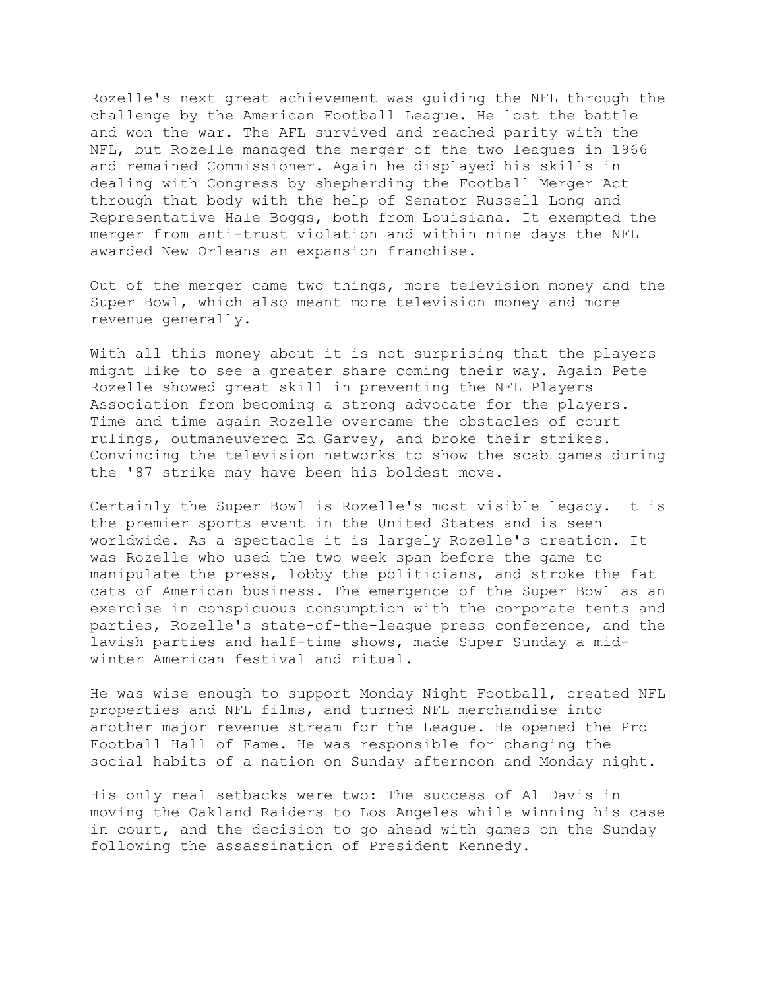Rozelle's next great achievement was guiding the NFL through the challenge by the American Football League. He lost the battle and won the war. The AFL survived and reached parity with the NFL, but Rozelle managed the merger of the two leagues in 1966 and remained Commissioner. Again he displayed his skills in dealing with Congress by shepherding the Football Merger Act through that body with the help of Senator Russell Long and Representative Hale Boggs, both from Louisiana. It exempted the merger from anti-trust violation and within nine days the NFL awarded New Orleans an expansion franchise.

Out of the merger came two things, more television money and the Super Bowl, which also meant more television money and more revenue generally.

With all this money about it is not surprising that the players might like to see a greater share coming their way. Again Pete Rozelle showed great skill in preventing the NFL Players Association from becoming a strong advocate for the players. Time and time again Rozelle overcame the obstacles of court rulings, outmaneuvered Ed Garvey, and broke their strikes. Convincing the television networks to show the scab games during the '87 strike may have been his boldest move.

Certainly the Super Bowl is Rozelle's most visible legacy. It is the premier sports event in the United States and is seen worldwide. As a spectacle it is largely Rozelle's creation. It was Rozelle who used the two week span before the game to manipulate the press, lobby the politicians, and stroke the fat cats of American business. The emergence of the Super Bowl as an exercise in conspicuous consumption with the corporate tents and parties, Rozelle's state-of-the-league press conference, and the lavish parties and half-time shows, made Super Sunday a midwinter American festival and ritual.

He was wise enough to support Monday Night Football, created NFL properties and NFL films, and turned NFL merchandise into another major revenue stream for the League. He opened the Pro Football Hall of Fame. He was responsible for changing the social habits of a nation on Sunday afternoon and Monday night.

His only real setbacks were two: The success of Al Davis in moving the Oakland Raiders to Los Angeles while winning his case in court, and the decision to go ahead with games on the Sunday following the assassination of President Kennedy.